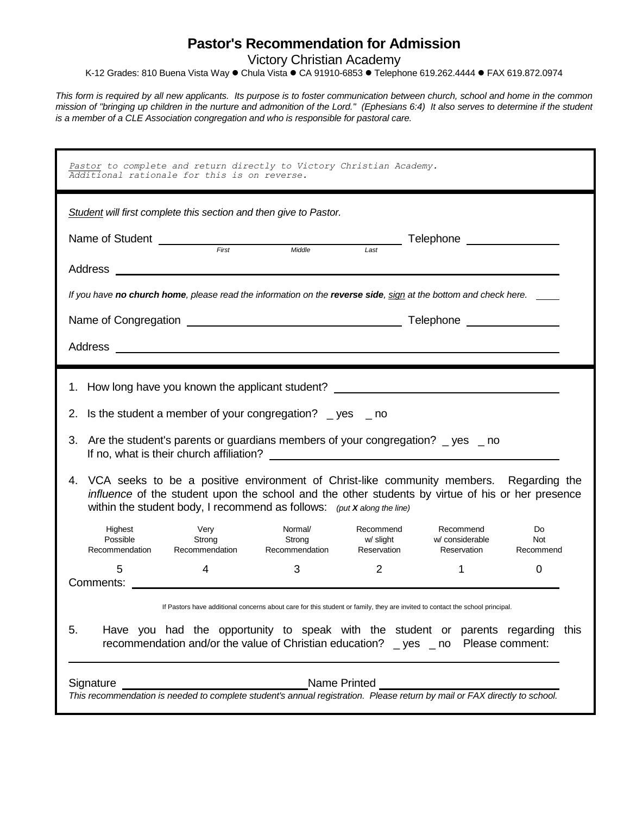## **Pastor's Recommendation for Admission**

Victory Christian Academy

K-12 Grades: 810 Buena Vista Way ⚫ Chula Vista ⚫ CA 91910-6853 ⚫ Telephone 619.262.4444 ⚫ FAX 619.872.0974

*This form is required by all new applicants. Its purpose is to foster communication between church, school and home in the common mission of "bringing up children in the nurture and admonition of the Lord." (Ephesians 6:4) It also serves to determine if the student is a member of a CLE Association congregation and who is responsible for pastoral care.*

| Pastor to complete and return directly to Victory Christian Academy.<br>Additional rationale for this is on reverse.                             |                                                                                                     |                                                                                                                                                                                                                                                                                                                                                                                                                                                                              |                                            |                                                 |                             |  |  |
|--------------------------------------------------------------------------------------------------------------------------------------------------|-----------------------------------------------------------------------------------------------------|------------------------------------------------------------------------------------------------------------------------------------------------------------------------------------------------------------------------------------------------------------------------------------------------------------------------------------------------------------------------------------------------------------------------------------------------------------------------------|--------------------------------------------|-------------------------------------------------|-----------------------------|--|--|
| Student will first complete this section and then give to Pastor.                                                                                |                                                                                                     |                                                                                                                                                                                                                                                                                                                                                                                                                                                                              |                                            |                                                 |                             |  |  |
|                                                                                                                                                  | Name of Student <i>First</i> First Middle <i>Last</i> Telephone <b>Constant Constant of Student</b> |                                                                                                                                                                                                                                                                                                                                                                                                                                                                              |                                            |                                                 |                             |  |  |
|                                                                                                                                                  |                                                                                                     |                                                                                                                                                                                                                                                                                                                                                                                                                                                                              |                                            |                                                 |                             |  |  |
| If you have no church home, please read the information on the reverse side, sign at the bottom and check here.                                  |                                                                                                     |                                                                                                                                                                                                                                                                                                                                                                                                                                                                              |                                            |                                                 |                             |  |  |
|                                                                                                                                                  |                                                                                                     |                                                                                                                                                                                                                                                                                                                                                                                                                                                                              |                                            |                                                 |                             |  |  |
|                                                                                                                                                  |                                                                                                     |                                                                                                                                                                                                                                                                                                                                                                                                                                                                              |                                            |                                                 |                             |  |  |
| 1. How long have you known the applicant student? ______________________________<br>2.<br>3.<br>4.<br>Highest<br>Possible<br>Recommendation<br>5 | Very<br>Strong<br>Recommendation<br>4                                                               | Is the student a member of your congregation? $\Box$ yes $\Box$ no<br>Are the student's parents or guardians members of your congregation? _ yes _ no<br>VCA seeks to be a positive environment of Christ-like community members. Regarding the<br>influence of the student upon the school and the other students by virtue of his or her presence<br>within the student body, I recommend as follows: (put $X$ along the line)<br>Normal/<br>Strong<br>Recommendation<br>3 | Recommend<br>w/ slight<br>Reservation<br>2 | Recommend<br>w/considerable<br>Reservation<br>1 | Do<br>Not<br>Recommend<br>0 |  |  |
| Comments:                                                                                                                                        |                                                                                                     |                                                                                                                                                                                                                                                                                                                                                                                                                                                                              |                                            |                                                 |                             |  |  |
|                                                                                                                                                  |                                                                                                     | If Pastors have additional concerns about care for this student or family, they are invited to contact the school principal.                                                                                                                                                                                                                                                                                                                                                 |                                            |                                                 |                             |  |  |
| 5.                                                                                                                                               |                                                                                                     | Have you had the opportunity to speak with the student or parents regarding<br>recommendation and/or the value of Christian education? _ yes _ no Please comment:                                                                                                                                                                                                                                                                                                            |                                            |                                                 | this                        |  |  |
| Signature                                                                                                                                        |                                                                                                     |                                                                                                                                                                                                                                                                                                                                                                                                                                                                              | Name Printed                               |                                                 |                             |  |  |